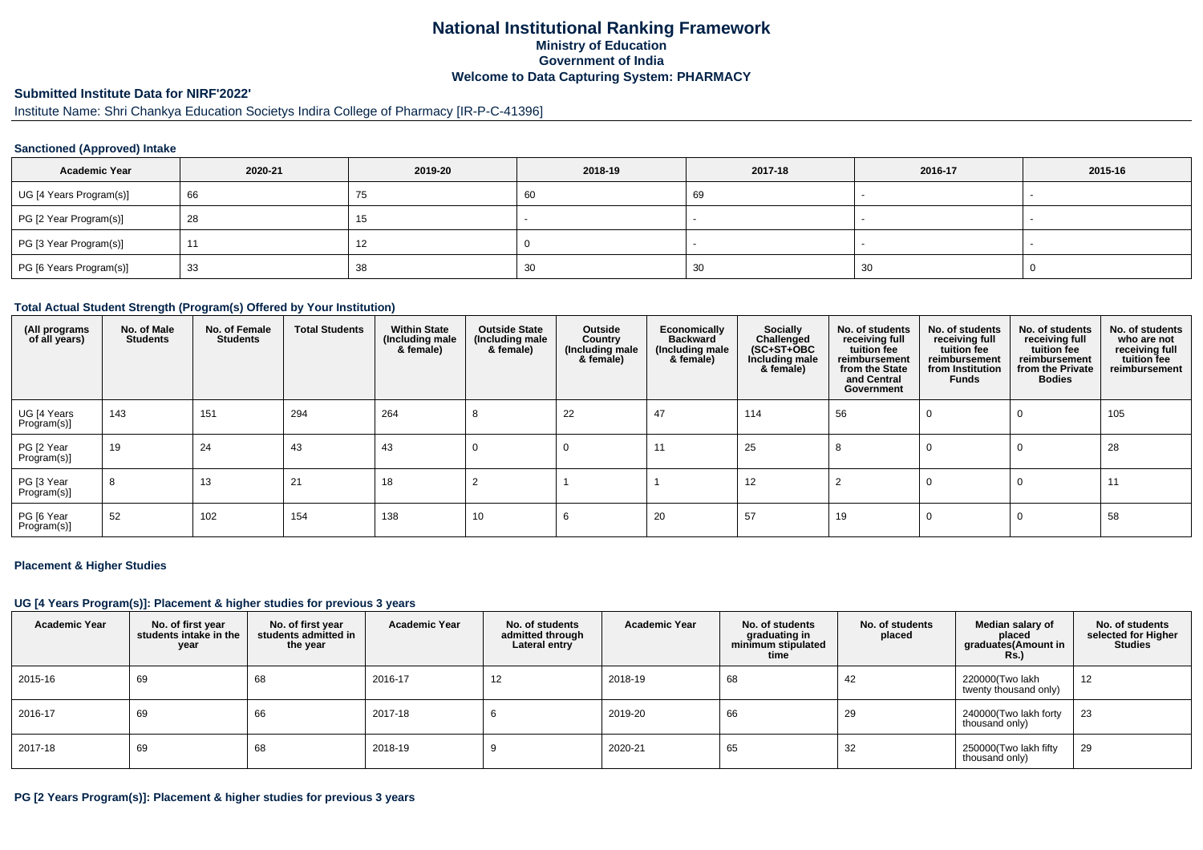## **National Institutional Ranking FrameworkMinistry of Education Government of IndiaWelcome to Data Capturing System: PHARMACY**

#### **Submitted Institute Data for NIRF'2022'**

# Institute Name: Shri Chankya Education Societys Indira College of Pharmacy [IR-P-C-41396]

#### **Sanctioned (Approved) Intake**

| <b>Academic Year</b>    | 2020-21 | 2019-20 | 2018-19 | 2017-18 | 2016-17 | 2015-16                  |
|-------------------------|---------|---------|---------|---------|---------|--------------------------|
| UG [4 Years Program(s)] | 66      | 75      | 60      | 69      |         | $\overline{\phantom{a}}$ |
| PG [2 Year Program(s)]  | 28      | ιJ      |         |         |         |                          |
| PG [3 Year Program(s)]  |         | 14      |         |         |         |                          |
| PG [6 Years Program(s)] | 33      | 38      | 30      | 30      | 30      |                          |

#### **Total Actual Student Strength (Program(s) Offered by Your Institution)**

| (All programs<br>of all years) | No. of Male<br><b>Students</b> | No. of Female<br><b>Students</b> | <b>Total Students</b> | <b>Within State</b><br>(Including male<br>& female) | <b>Outside State</b><br>(Including male<br>& female) | Outside<br>Country<br>(Including male)<br>& female) | Economically<br><b>Backward</b><br>(Including male<br>& female) | Socially<br>Challenged<br>$(SC+ST+OBC)$<br>Including male<br>& female) | No. of students<br>receiving full<br>tuition fee<br>reimbursement<br>from the State<br>and Central<br>Government | No. of students<br>receiving full<br>tuition fee<br>reimbursement<br>from Institution<br>Funds | No. of students<br>receiving full<br>tuition fee<br>reimbursement<br>from the Private<br><b>Bodies</b> | No. of students<br>who are not<br>receiving full<br>tuition fee<br>reimbursement |
|--------------------------------|--------------------------------|----------------------------------|-----------------------|-----------------------------------------------------|------------------------------------------------------|-----------------------------------------------------|-----------------------------------------------------------------|------------------------------------------------------------------------|------------------------------------------------------------------------------------------------------------------|------------------------------------------------------------------------------------------------|--------------------------------------------------------------------------------------------------------|----------------------------------------------------------------------------------|
| UG [4 Years<br>Program(s)]     | 143                            | 151                              | 294                   | 264                                                 | 8                                                    | 22                                                  | 47                                                              | 114                                                                    | 56                                                                                                               | $\Omega$                                                                                       | 0                                                                                                      | 105                                                                              |
| PG [2 Year<br>Program(s)]      | 19                             | 24                               | 43                    | 43                                                  | 0                                                    | 0                                                   | 11                                                              | 25                                                                     | 8                                                                                                                | 0                                                                                              | $\Omega$                                                                                               | 28                                                                               |
| PG [3 Year<br>Program(s)]      | 8                              | 13                               | 21                    | 18                                                  |                                                      |                                                     |                                                                 | 12                                                                     |                                                                                                                  | 0                                                                                              | $\Omega$                                                                                               | 11                                                                               |
| PG [6 Year<br>Program(s)]      | 52                             | 102                              | 154                   | 138                                                 | 10                                                   | b                                                   | 20                                                              | 57                                                                     | 19                                                                                                               | 0                                                                                              | $\Omega$                                                                                               | 58                                                                               |

#### **Placement & Higher Studies**

#### **UG [4 Years Program(s)]: Placement & higher studies for previous 3 years**

| <b>Academic Year</b> | No. of first year<br>students intake in the<br>year | No. of first vear<br>students admitted in<br>the year | <b>Academic Year</b> | No. of students<br>admitted through<br>Lateral entry | <b>Academic Year</b> | No. of students<br>graduating in<br>minimum stipulated<br>time | No. of students<br>placed | Median salary of<br>placed<br>graduates(Amount in<br><b>Rs.)</b> | No. of students<br>selected for Higher<br><b>Studies</b> |
|----------------------|-----------------------------------------------------|-------------------------------------------------------|----------------------|------------------------------------------------------|----------------------|----------------------------------------------------------------|---------------------------|------------------------------------------------------------------|----------------------------------------------------------|
| 2015-16              | 69                                                  | 68                                                    | 2016-17              | 12                                                   | 2018-19              | 68                                                             | 42                        | 220000(Two lakh<br>twenty thousand only)                         | 12                                                       |
| 2016-17              | 69                                                  | 66                                                    | 2017-18              | b                                                    | 2019-20              | 66                                                             | 29                        | 240000(Two lakh forty<br>thousand only)                          | 23                                                       |
| 2017-18              | 69                                                  | 68                                                    | 2018-19              |                                                      | 2020-21              | 65                                                             | 32                        | 250000(Two lakh fifty<br>thousand only)                          | 29                                                       |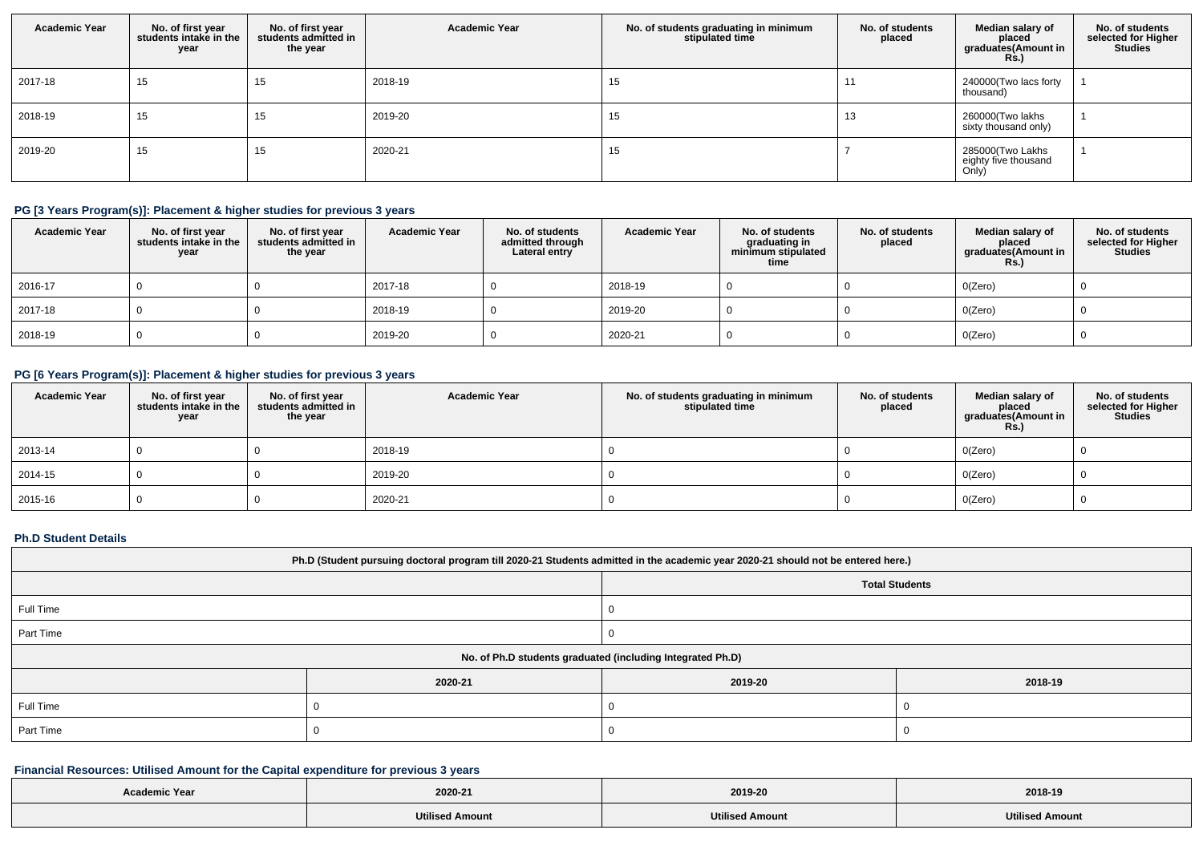| <b>Academic Year</b> | No. of first year<br>students intake in the<br>year | No. of first year<br>students admitted in<br>the year | <b>Academic Year</b> | No. of students graduating in minimum<br>stipulated time | No. of students<br>placed | Median salary of<br>placed<br>graduates(Amount in<br><b>Rs.)</b> | No. of students<br>selected for Higher<br><b>Studies</b> |
|----------------------|-----------------------------------------------------|-------------------------------------------------------|----------------------|----------------------------------------------------------|---------------------------|------------------------------------------------------------------|----------------------------------------------------------|
| 2017-18              | 15                                                  | 15                                                    | 2018-19              | 15                                                       | . .                       | 240000(Two lacs forty<br>thousand)                               |                                                          |
| 2018-19              | 15                                                  | 15                                                    | 2019-20              | 15                                                       | 13                        | 260000(Two lakhs<br>sixty thousand only)                         |                                                          |
| 2019-20              | 15                                                  | 15                                                    | 2020-21              | 15                                                       |                           | 285000(Two Lakhs<br>eighty five thousand<br>Only)                |                                                          |

## **PG [3 Years Program(s)]: Placement & higher studies for previous 3 years**

| <b>Academic Year</b> | No. of first year<br>students intake in the<br>year | No. of first year<br>students admitted in<br>the year | <b>Academic Year</b> | No. of students<br>admitted through<br>Lateral entry | <b>Academic Year</b> | No. of students<br>graduating in<br>minimum stipulated<br>time | No. of students<br>placed | Median salary of<br>placed<br>graduates(Amount in<br><b>Rs.)</b> | No. of students<br>selected for Higher<br>Studies |
|----------------------|-----------------------------------------------------|-------------------------------------------------------|----------------------|------------------------------------------------------|----------------------|----------------------------------------------------------------|---------------------------|------------------------------------------------------------------|---------------------------------------------------|
| 2016-17              |                                                     |                                                       | 2017-18              |                                                      | 2018-19              |                                                                |                           | O(Zero)                                                          |                                                   |
| 2017-18              |                                                     |                                                       | 2018-19              |                                                      | 2019-20              |                                                                |                           | O(Zero)                                                          |                                                   |
| 2018-19              |                                                     |                                                       | 2019-20              |                                                      | 2020-21              |                                                                |                           | O(Zero)                                                          |                                                   |

# **PG [6 Years Program(s)]: Placement & higher studies for previous 3 years**

| <b>Academic Year</b> | No. of first year<br>students intake in the<br>year | No. of first year<br>students admitted in<br>the year | <b>Academic Year</b> | No. of students graduating in minimum<br>stipulated time | No. of students<br>placed | Median salary of<br>placed<br>graduates(Amount in<br><b>Rs.)</b> | No. of students<br>selected for Higher<br><b>Studies</b> |
|----------------------|-----------------------------------------------------|-------------------------------------------------------|----------------------|----------------------------------------------------------|---------------------------|------------------------------------------------------------------|----------------------------------------------------------|
| 2013-14              |                                                     |                                                       | 2018-19              |                                                          |                           | O(Zero)                                                          |                                                          |
| 2014-15              |                                                     |                                                       | 2019-20              |                                                          |                           | O(Zero)                                                          |                                                          |
| 2015-16              |                                                     |                                                       | 2020-21              |                                                          |                           | O(Zero)                                                          |                                                          |

#### **Ph.D Student Details**

| Ph.D (Student pursuing doctoral program till 2020-21 Students admitted in the academic year 2020-21 should not be entered here.) |         |                                                            |         |  |  |
|----------------------------------------------------------------------------------------------------------------------------------|---------|------------------------------------------------------------|---------|--|--|
| <b>Total Students</b>                                                                                                            |         |                                                            |         |  |  |
| Full Time                                                                                                                        |         |                                                            |         |  |  |
| Part Time                                                                                                                        |         |                                                            |         |  |  |
|                                                                                                                                  |         | No. of Ph.D students graduated (including Integrated Ph.D) |         |  |  |
|                                                                                                                                  | 2020-21 | 2019-20                                                    | 2018-19 |  |  |
| Full Time                                                                                                                        |         |                                                            |         |  |  |
| Part Time                                                                                                                        |         |                                                            |         |  |  |

# **Financial Resources: Utilised Amount for the Capital expenditure for previous 3 years**

| <b>Academic Year</b> |                        |                        |                        |
|----------------------|------------------------|------------------------|------------------------|
|                      | 2020-21                | 2019-20                | 2018-19                |
|                      | <b>Utilised Amount</b> | <b>Utilised Amount</b> | <b>Utilised Amount</b> |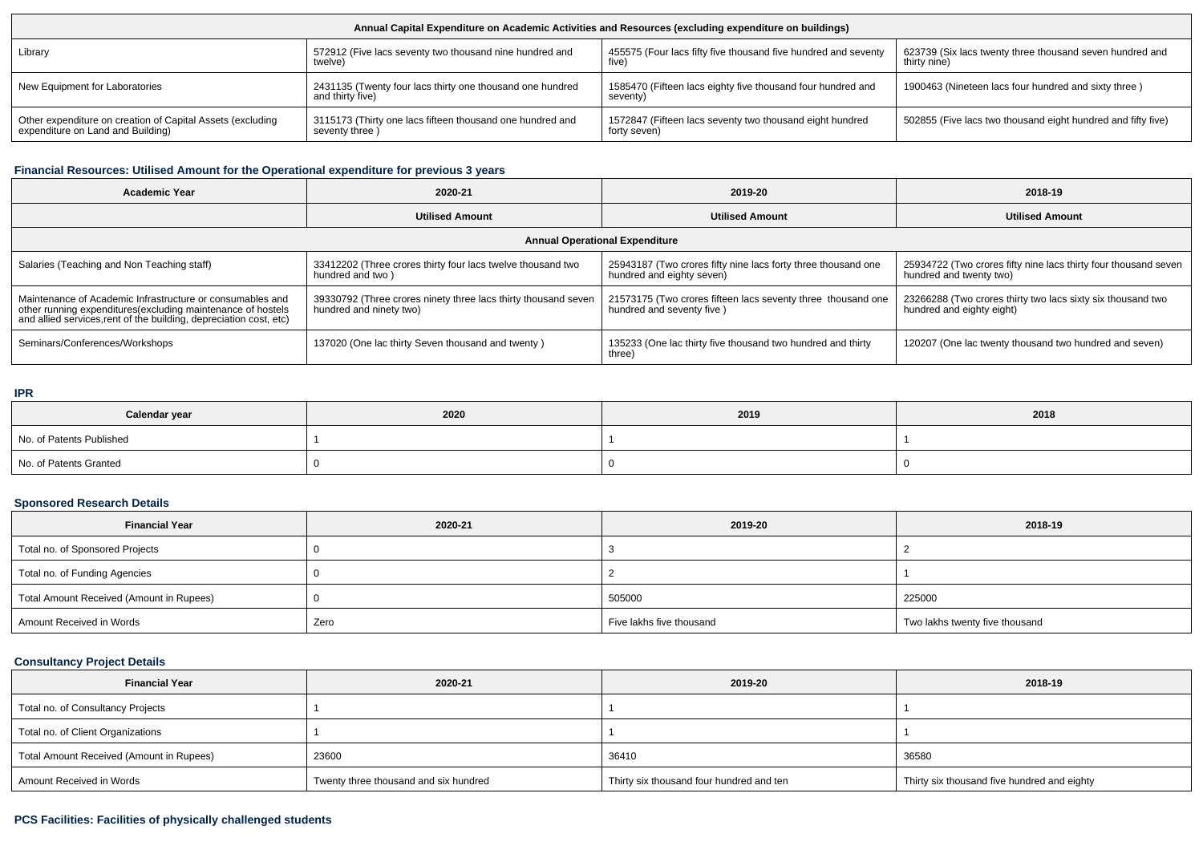| Annual Capital Expenditure on Academic Activities and Resources (excluding expenditure on buildings) |                                                                               |                                                                         |                                                              |  |  |  |
|------------------------------------------------------------------------------------------------------|-------------------------------------------------------------------------------|-------------------------------------------------------------------------|--------------------------------------------------------------|--|--|--|
| Library                                                                                              | 572912 (Five lacs seventy two thousand nine hundred and                       | 455575 (Four lacs fifty five thousand five hundred and seventy          | 623739 (Six lacs twenty three thousand seven hundred and     |  |  |  |
|                                                                                                      | twelve)                                                                       | five)                                                                   | thirty nine)                                                 |  |  |  |
| New Equipment for Laboratories                                                                       | 2431135 (Twenty four lacs thirty one thousand one hundred<br>and thirty five) | 1585470 (Fifteen lacs eighty five thousand four hundred and<br>seventy) | 1900463 (Nineteen lacs four hundred and sixty three)         |  |  |  |
| Other expenditure on creation of Capital Assets (excluding                                           | 3115173 (Thirty one lacs fifteen thousand one hundred and                     | 1572847 (Fifteen lacs seventy two thousand eight hundred                | 502855 (Five lacs two thousand eight hundred and fifty five) |  |  |  |
| expenditure on Land and Building)                                                                    | seventy three)                                                                | forty seven)                                                            |                                                              |  |  |  |

## **Financial Resources: Utilised Amount for the Operational expenditure for previous 3 years**

| <b>Academic Year</b>                                                                                                                                                                            | 2020-21                                                                                   | 2019-20                                                                                    | 2018-19                                                                                    |  |  |  |  |
|-------------------------------------------------------------------------------------------------------------------------------------------------------------------------------------------------|-------------------------------------------------------------------------------------------|--------------------------------------------------------------------------------------------|--------------------------------------------------------------------------------------------|--|--|--|--|
|                                                                                                                                                                                                 | <b>Utilised Amount</b>                                                                    | <b>Utilised Amount</b>                                                                     | <b>Utilised Amount</b>                                                                     |  |  |  |  |
| <b>Annual Operational Expenditure</b>                                                                                                                                                           |                                                                                           |                                                                                            |                                                                                            |  |  |  |  |
| Salaries (Teaching and Non Teaching staff)                                                                                                                                                      | 33412202 (Three crores thirty four lacs twelve thousand two<br>hundred and two )          | 25943187 (Two crores fifty nine lacs forty three thousand one<br>hundred and eighty seven) | 25934722 (Two crores fifty nine lacs thirty four thousand seven<br>hundred and twenty two) |  |  |  |  |
| Maintenance of Academic Infrastructure or consumables and<br>other running expenditures (excluding maintenance of hostels<br>and allied services, rent of the building, depreciation cost, etc) | 39330792 (Three crores ninety three lacs thirty thousand seven<br>hundred and ninety two) | 21573175 (Two crores fifteen lacs seventy three thousand one<br>hundred and seventy five ) | 23266288 (Two crores thirty two lacs sixty six thousand two<br>hundred and eighty eight)   |  |  |  |  |
| Seminars/Conferences/Workshops                                                                                                                                                                  | 137020 (One lac thirty Seven thousand and twenty)                                         | 135233 (One lac thirty five thousand two hundred and thirty<br>three)                      | 120207 (One lac twenty thousand two hundred and seven)                                     |  |  |  |  |

#### **IPR**

| Calendar year            | 2020 | 2019 | 2018 |
|--------------------------|------|------|------|
| No. of Patents Published |      |      |      |
| No. of Patents Granted   |      |      |      |

## **Sponsored Research Details**

| <b>Financial Year</b>                    | 2020-21 | 2019-20                  | 2018-19                        |
|------------------------------------------|---------|--------------------------|--------------------------------|
| Total no. of Sponsored Projects          |         |                          |                                |
| Total no. of Funding Agencies            |         |                          |                                |
| Total Amount Received (Amount in Rupees) |         | 505000                   | 225000                         |
| Amount Received in Words                 | Zero    | Five lakhs five thousand | Two lakhs twenty five thousand |

## **Consultancy Project Details**

| <b>Financial Year</b>                    | 2020-21                               | 2019-20                                  | 2018-19                                     |
|------------------------------------------|---------------------------------------|------------------------------------------|---------------------------------------------|
| Total no. of Consultancy Projects        |                                       |                                          |                                             |
| Total no. of Client Organizations        |                                       |                                          |                                             |
| Total Amount Received (Amount in Rupees) | 23600                                 | 36410                                    | 36580                                       |
| Amount Received in Words                 | Twenty three thousand and six hundred | Thirty six thousand four hundred and ten | Thirty six thousand five hundred and eighty |

## **PCS Facilities: Facilities of physically challenged students**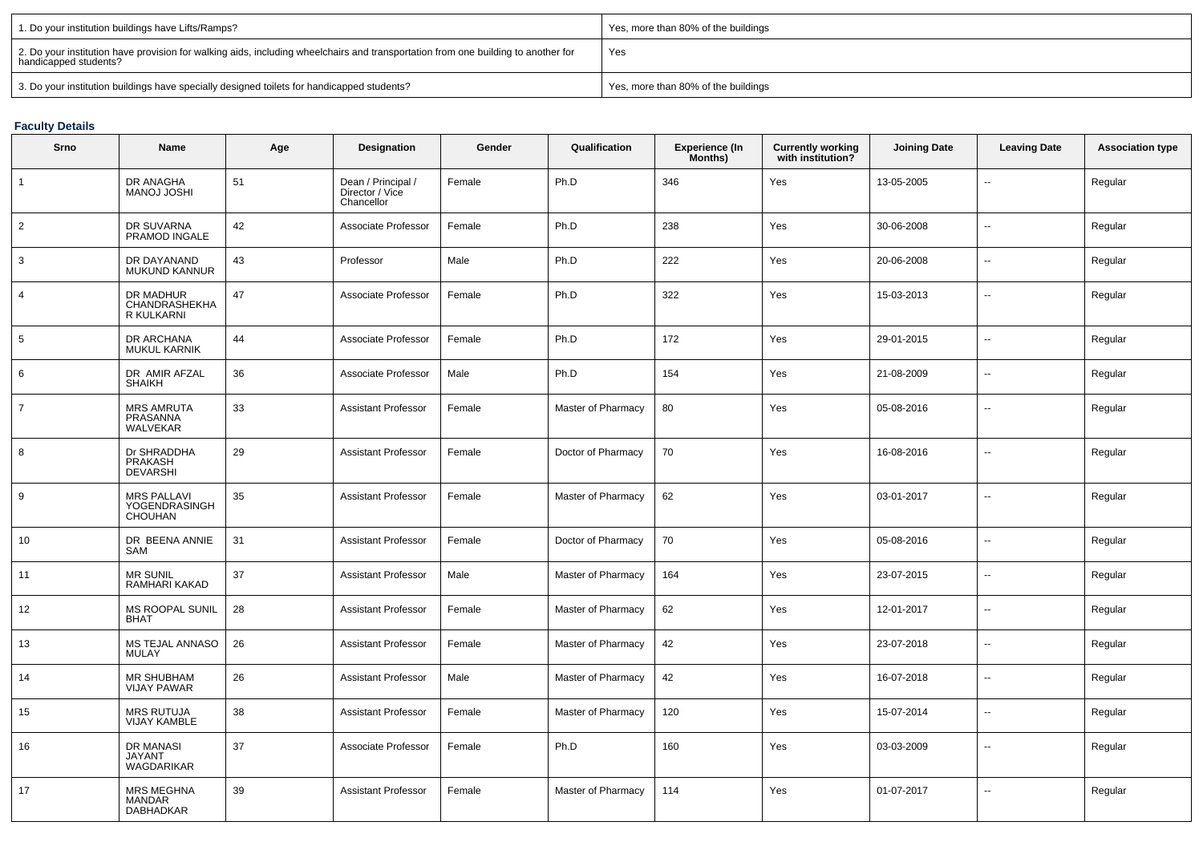| 1. Do your institution buildings have Lifts/Ramps?                                                                                                         | Yes, more than 80% of the buildings |
|------------------------------------------------------------------------------------------------------------------------------------------------------------|-------------------------------------|
| 2. Do your institution have provision for walking aids, including wheelchairs and transportation from one building to another for<br>handicapped students? | Yes                                 |
| 3. Do your institution buildings have specially designed toilets for handicapped students?                                                                 | Yes, more than 80% of the buildings |

## **Faculty Details**

| Srno            | Name                                                  | Age | Designation                                         | Gender | Qualification      | Experience (In<br>Months) | Currently working<br>with institution? | <b>Joining Date</b> | <b>Leaving Date</b>      | <b>Association type</b> |
|-----------------|-------------------------------------------------------|-----|-----------------------------------------------------|--------|--------------------|---------------------------|----------------------------------------|---------------------|--------------------------|-------------------------|
| $\mathbf{1}$    | DR ANAGHA<br>MANOJ JOSHI                              | 51  | Dean / Principal /<br>Director / Vice<br>Chancellor | Female | Ph.D               | 346                       | Yes                                    | 13-05-2005          |                          | Regular                 |
| $\overline{2}$  | DR SUVARNA<br>PRAMOD INGALE                           | 42  | Associate Professor                                 | Female | Ph.D               | 238                       | Yes                                    | 30-06-2008          | $\sim$                   | Regular                 |
| 3               | DR DAYANAND<br><b>MUKUND KANNUR</b>                   | 43  | Professor                                           | Male   | Ph.D               | 222                       | Yes                                    | 20-06-2008          | $\overline{\phantom{a}}$ | Regular                 |
| $\overline{4}$  | DR MADHUR<br>CHANDRASHEKHA<br>R KULKARNI              | 47  | Associate Professor                                 | Female | Ph.D               | 322                       | Yes                                    | 15-03-2013          | $\sim$                   | Regular                 |
| $5\phantom{.0}$ | DR ARCHANA<br><b>MUKUL KARNIK</b>                     | 44  | Associate Professor                                 | Female | Ph.D               | 172                       | Yes                                    | 29-01-2015          | $\overline{\phantom{a}}$ | Regular                 |
| 6               | DR AMIR AFZAL<br><b>SHAIKH</b>                        | 36  | Associate Professor                                 | Male   | Ph.D               | 154                       | Yes                                    | 21-08-2009          | $\sim$                   | Regular                 |
| $\overline{7}$  | <b>MRS AMRUTA</b><br>PRASANNA<br>WALVEKAR             | 33  | <b>Assistant Professor</b>                          | Female | Master of Pharmacy | 80                        | Yes                                    | 05-08-2016          | $\overline{\phantom{a}}$ | Regular                 |
| 8               | Dr SHRADDHA<br>PRAKASH<br><b>DEVARSHI</b>             | 29  | <b>Assistant Professor</b>                          | Female | Doctor of Pharmacy | 70                        | Yes                                    | 16-08-2016          | $\sim$                   | Regular                 |
| 9               | <b>MRS PALLAVI</b><br>YOGENDRASINGH<br><b>CHOUHAN</b> | 35  | <b>Assistant Professor</b>                          | Female | Master of Pharmacy | 62                        | Yes                                    | 03-01-2017          | $\sim$                   | Regular                 |
| 10              | DR BEENA ANNIE<br>SAM                                 | 31  | <b>Assistant Professor</b>                          | Female | Doctor of Pharmacy | 70                        | Yes                                    | 05-08-2016          | $\overline{\phantom{a}}$ | Regular                 |
| 11              | <b>MR SUNIL</b><br>RAMHARI KAKAD                      | 37  | <b>Assistant Professor</b>                          | Male   | Master of Pharmacy | 164                       | Yes                                    | 23-07-2015          | $\sim$                   | Regular                 |
| 12              | MS ROOPAL SUNIL<br><b>BHAT</b>                        | 28  | <b>Assistant Professor</b>                          | Female | Master of Pharmacy | 62                        | Yes                                    | 12-01-2017          | $\overline{\phantom{a}}$ | Regular                 |
| 13              | MS TEJAL ANNASO<br><b>MULAY</b>                       | 26  | <b>Assistant Professor</b>                          | Female | Master of Pharmacy | 42                        | Yes                                    | 23-07-2018          | $\sim$                   | Regular                 |
| 14              | <b>MR SHUBHAM</b><br><b>VIJAY PAWAR</b>               | 26  | <b>Assistant Professor</b>                          | Male   | Master of Pharmacy | 42                        | Yes                                    | 16-07-2018          | $\sim$                   | Regular                 |
| 15              | <b>MRS RUTUJA</b><br><b>VIJAY KAMBLE</b>              | 38  | <b>Assistant Professor</b>                          | Female | Master of Pharmacy | 120                       | Yes                                    | 15-07-2014          | $\sim$                   | Regular                 |
| 16              | DR MANASI<br><b>JAYANT</b><br>WAGDARIKAR              | 37  | Associate Professor                                 | Female | Ph.D               | 160                       | Yes                                    | 03-03-2009          | $\sim$                   | Regular                 |
| 17              | <b>MRS MEGHNA</b><br><b>MANDAR</b><br>DABHADKAR       | 39  | <b>Assistant Professor</b>                          | Female | Master of Pharmacy | 114                       | Yes                                    | 01-07-2017          | $\sim$                   | Regular                 |